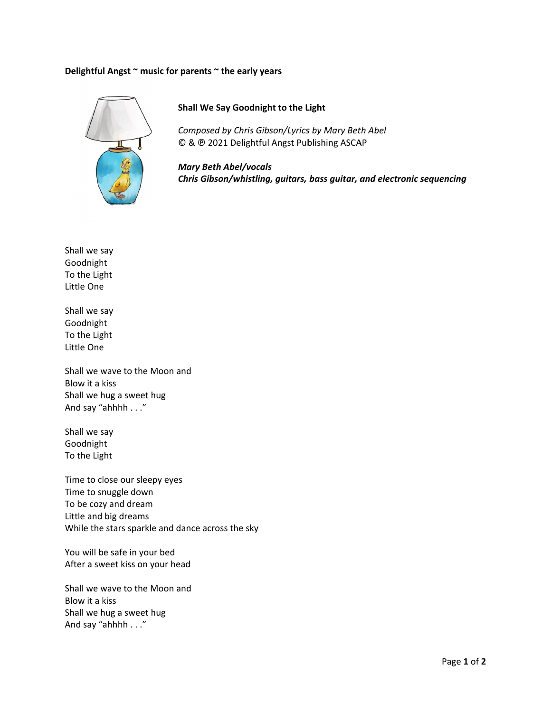## **Delightfu l Angst ~ mus sic for parent ts ~ the early y years**



## **Shall W We Say Goodn night to the L Light**

*Composed by Chris Gibson/Lyrics by Mary Beth Abel* © & @ 2021 Delightful Angst Publishing ASCAP

*Mary B Beth Abel/voc cals Chris G Gibson/whistl ling, guitars, bass guitar, a and electron ic sequencing g*

Shall we s say Goodnigh ht To the Ligh<mark>t</mark> Little One Little One<br>Shall we say

Goodnigh ht To the Ligh<mark>t</mark> Little One

Little One<br>Shall we wave to the Moon and Blow it a k kiss Shall we h hug a sweet h hug And say " ahhhh . . ."

Shall we s say Goodnigh ht To the Ligh<mark>t</mark>

Time to cl lose our sleep py eyes Time to sn nuggle down To be coz y and dream Little and big dreams While the stars sparkle and dance across the sky

You will b be safe in you r bed After a sweet kiss on your head

Shall we w wave to the M Moon and Blow it a k kiss Shall we h hug a sweet h hug And say " ahhhh . . ."